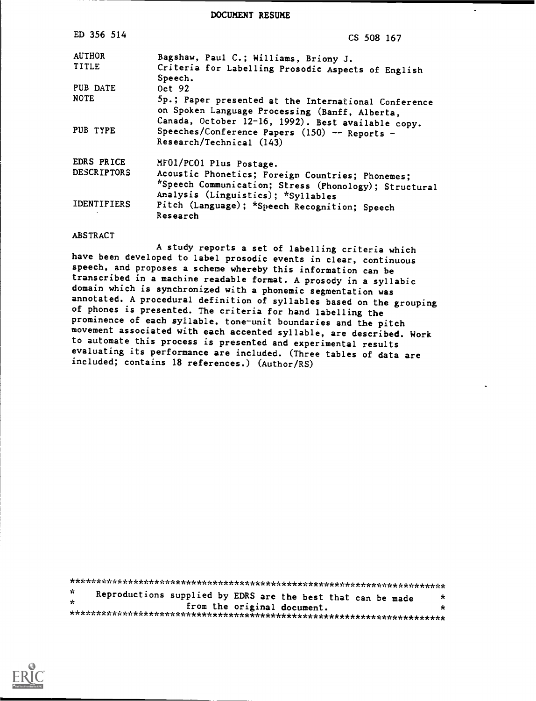DOCUMENT RESUME

| ED 356 514         | CS 508 167                                                                                                                                                   |
|--------------------|--------------------------------------------------------------------------------------------------------------------------------------------------------------|
| <b>AUTHOR</b>      | Bagshaw, Paul C.; Williams, Briony J.                                                                                                                        |
| <b>TITLE</b>       | Criteria for Labelling Prosodic Aspects of English<br>Speech.                                                                                                |
| PUB DATE           | Oct 92                                                                                                                                                       |
| <b>NOTE</b>        | 5p.; Paper presented at the International Conference<br>on Spoken Language Processing (Banff, Alberta,<br>Canada, October 12-16, 1992). Best available copy. |
| PUB TYPE           | Speeches/Conference Papers $(150)$ -- Reports -<br>Research/Technical (143)                                                                                  |
| EDRS PRICE         | MF01/PC01 Plus Postage.                                                                                                                                      |
| <b>DESCRIPTORS</b> | Acoustic Phonetics; Foreign Countries; Phonemes;<br>*Speech Communication; Stress (Phonology); Structural<br>Analysis (Linguistics); *Syllables              |
| <b>IDENTIFIERS</b> | Pitch (Language); *Speech Recognition; Speech<br>Research                                                                                                    |

#### **ABSTRACT**

A study reports a set of labelling criteria which have been developed to label prosodic events in clear, continuous speech, and proposes a scheme whereby this information can be transcribed in a machine readable format. A prosody in a syllabic domain which is synchronized with a phonemic segmentation was annotated. A procedural definition of syllables based on the grouping of phones is presented. The criteria for hand labelling the prominence of each syllable, tone-unit boundaries and the pitch movement associated with each accented syllable, are described. Work to automate this process is presented and experimental results evaluating its performance are included. (Three tables of data are included; contains 18 references.) (Author/RS)

 $\star$ Reproductions supplied by EDRS are the best that can be made  $\star$  $\mathbf{x}$ from the original document.  $\star$ 

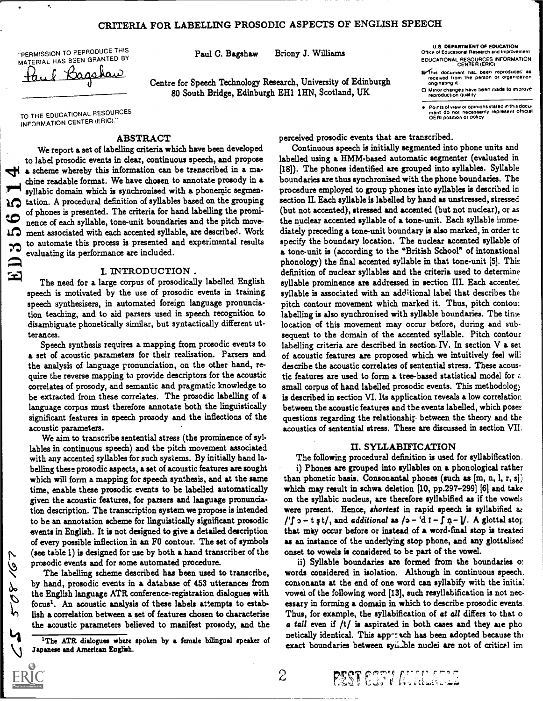# CRITERIA FOR LABELLING PROSODIC ASPECTS OF ENGLISH SPEECH

"PERMISSION TO P.EPRODUCE THIS

PERMISSION TO PEPRODUCE THIS<br>MATERIAL HAS BEEN GRANTED BY **Paul C. Bagshaw** Briony J. Williams<br>Paul C. Bagshaw

Centre for Speech Technology Research, University of Edinburgh received from 80 South Bridge, Edinburgh EH1 1FIN, Scotland, UK

EDUCATIONAL RESOURCES INFORMATION CENTER (ERICI Office of Educational Rasearch and Improvement U.S. DEPARTMENT OF EDUCATION

- **Sy**This document hat. been reproduced as preceived from the person or organization originating it<br>Minor changes have been made to improve
- reproduction quality

Points of view or opinions stated in this docu-ment do not necessarily represent otncial OERI position or policy

TO THE EDUCATIONAL RESOURCES INFORMATION CENTER (ERIC)."

### ABSTRACT

We report a set of labelling criteria which have been developed to label prosodic events in clear, continuous speech, and propose the a scheme whereby this information can be transcribed in a machine readable format. We have chosen to annotate prosody in a syllabic domain which is synchronised with a phonemic segmentation. A procedural definition of syllables based on the grouping of phones is presented. The criteria for hand labelling the promi nence of each syllable, tone-unit boundaries and the pitch move-<br>
12 ment associated with each accented syllable, are described. Work ment associated with each accented syllable, are described. Work to automate this process is presented and experimental results evaluating its performance are included.

#### I. INTRODUCTION .

The need for a large corpus of prosodically labelled English syllable speech is motivated by the use of prosodic events in training speech synthesisers, in automated foreign language pronunciation teaching, and to aid parsers used in speech recognition to disambiguate phonetically similar, but syntactically different utterances.

Speech synthesis requires a mapping from prosodic events to a set of acoustic parameters for their realisation. Parsers and the analysis of language pronunciation, on the other hand, require the reverse mapping to provide descriptors for the acoustic correlates of prosody, and semantic and pragmatic knowledge to be extracted from these correlates. The prosodic labelling of a language corpus must therefore annotate both the linguistically significant features in speech prosody and the inflections of the acoustic parameters.

We aim to transcribe sentential stress (the prominence of syllables in continuous speech) and the pitch movement associated with any accented syllables for such systems. By initially hand labelling these prosodic aspects, a set of acoustic features are sought which will form a mapping for speech synthesis, and at the same time, enable these prosodic events to be labelled automatically given the acoustic features, for parsers and language pronunciation description. The transcription system we propose is intended to be an annotation scheme for linguistically significant prosodic events in English. It is not designed to give a detailed description of every possible inflection in an FO contour. The set of symbols (see table 1) is designed for use by both a hand transcriber of the prosodic events and for some automated procedure.

The labelling scheme described has been used to transcribe, by hand, prosodic events in a database of 453 utterances from  $\beta$  focus<sup>1</sup>. An acoustic analysis of these labels attempts to estabthe English language ATR conference-registration dialogues with lish a correlation between a set of features chosen to characterise the acoustic parameters believed to manifest prosody, and the

 $1$ The ATR dialogues where spoken by a female bilingual speaker of Japanese and American English.

perceived prosodic events that are transcribed.

Continuous speech is initially segmented into phone units and labelled using a HMM-based automatic segmenter (evaluated in [18]). The phones identified are grouped into syllables. Syllable boundaries are thus synchronised with the phone boundaries. The procedure employed to group phones into syllables is described in section II. Each syllable is labelled by hand as unstressed, stressed (but not accented), stressed and accented (but not nuclear), or as the nuclear accented syllable of a tone-unit. Each syllable immediately preceding a tone-unit boundary is also marked, in order tc specify the boundary location. The nuclear accented syllable of a. tone-unit is (according to the "British School" of intonational phonology) the final accented syllable in that tone-unit [5]. This definition of nuclear syllables and the criteria used to determine syllable prominence are addressed in section III. Each accented syllable is associated with an additional label that describes the pitch contour movement which marked it. Thus, pitch contou: labelling is also synchronised with syllable boundaries. The time location of this movement may occur before, during and subsequent to the domain of the accented syllable. Pitch contour labelling criteria are described in section. IV. In section V a set of acoustic features are proposed which we intuitively feel wil: describe the acoustic correlates of sentential stress. These acoustic features are used to form a tree-based statistical model for  $\varepsilon$ small corpus of hand labelled prosodic events. This methodology is described in section VI. Its application reveals a low correlation between the acoustic features and the events labelled, which pose: questions regarding the relationship between the theory and the acoustics of sentential stress. These are discussed in section VII.

#### U. SYLLABIFICATION

The following procedural definition is used for syllabification.

i) Phones are grouped into syllables on a phonological rather than phonetic basis. Consonantal phones (such as  $[m, n, l, r, s])$ which may result in schwa deletion [10, pp.297-299] [6] and take on the syllabic nucleus, are therefore syllabified as if the vowels were present. Hence, shortest in rapid speech is syllabified as /'f  $o - t$  s t/, and additional as /a - 'd  $I - f$   $p - l$ . A glottal stop that may occur before or instead of a word-final stop is treated as an instance of the underlying stop phone, and any glottalised onset to vowels is considered to be part of the vowel.

ii) Syllable boundaries are formed from the boundaries o: words considered in isolation. Although in continuous speech. consonants at the end of one word can syllabify with the initia: vowel of the following word [13], such resyllabification is not necessary in forming a domain in which to describe prosodic events. Thus, for example, the syllabification of at all differs to that o a tall even if  $/t/$  is aspirated in both cases and they are pho netically identical. This app-tuch has been adopted because the exact boundaries between syn. ble nuclei are not of critical im

'

ZL.anL't

P

 $\overline{c}$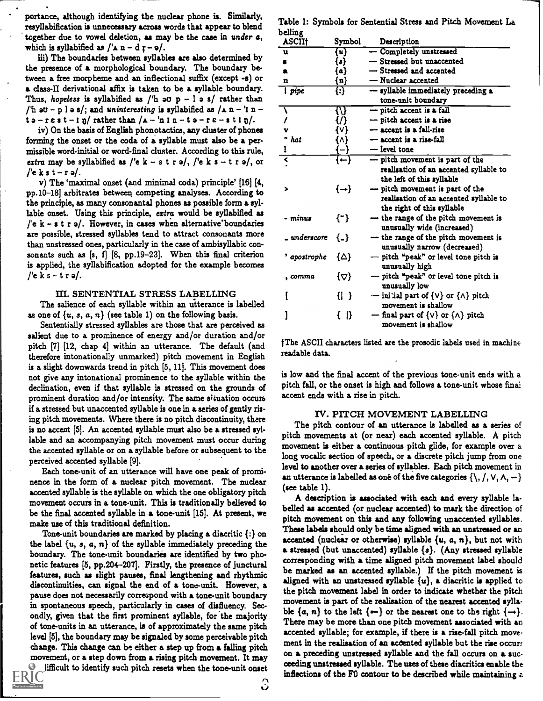iii) The boundaries between syllables are also determined by the presence of a morphological boundary. The boundary between a free morpheme and an inflectional suffix (except -s) or a class-II derivational affix is taken to be a syllable boundary. Thus, hopeless is syllabified as  $/$ 'h au p - l a s/ rather than /'h au - p l a s/; and uninteresting is syllabified as  $/\alpha$  n - 'n  $t_0-r\epsilon s t-l\eta$  rather than  $/a-ln l n-t_0-r\epsilon-s t l\eta/$ .

iv) On the basis of English phonotactics, any cluster of phones forming the onset or the coda of a syllable must also be a permissible word-initial or word-final cluster. According to this rule, extra may be syllabified as  $\ell' = k - s \tceil s$ ,  $\ell' = k \tceil s - t \rceil$ , or  $\ell' = k \tceil s - r \rceil$ .

v) The 'maximal onset (and minimal coda) principle' [16] [4, pp.10-18] arbitrates between competing analyses. According to the principle, as many consonantal phones as possible form a syllable onset. Using this principle, extra would be syllabified as /'e  $k - s t r s$ . However, in cases when alternative boundaries are possible, stressed syllables tend to attract consonants more than unstressed ones, particularly in the case of ambisyllabic consonants such as [s, f] [8, pp.19-23]. When this final criterion is applied, the syllabification adopted for the example becomes /'e k s – t r  $\mathfrak{g}/$ .

### III. SENTENTIAL STRESS LABELLING

The salience of each syllable within an utterance is labelled as one of  $\{u, s, a, n\}$  (see table 1) on the following basis.

Sententially stressed syllables are those that are perceived as salient due to a prominence of energy and/or duration and/or pitch [7] [12, chap 4] within an utterance. The default (and therefore intonationally unmarked) pitch movement in English is a slight downwards trend in pitch [5, 11]. This movement does not give any intonational prominence to the syllable within the declination, even if that syllable is stressed on the grounds of prominent duration and/or intensity. The same sicuation occurs if a stressed but unaccented syllable is one in a series of gently rising pitch movements. Where there is no pitch discontinuity, there is no accent [5]. An accented syllable must also be a stressed syllable and an accompanying pitch movement must occur during the accented syllable or on a syllable before or subsequent to the perceived accented syllable [9].

Each tone-unit of an utterance will have one peak of prominence in the form of a nuclear pitch movement. The nuclear accented syllable is the syllable on which the one obligatory pitch movement occurs in a tone-unit. This is traditionally believed to be the final accented syllable in a tone-unit [15]. At present, we make use of this traditional definition.

Tone-unit boundaries are marked by placing a diacritic {:} on the label  $\{u, s, a, n\}$  of the syllable immediately preceding the boundary. The tone-unit boundaries are identified by two phonetic features [5, pp.204-207]. Firstly, the presence of junctural features, such as slight pauses, final lengthening and rhythmic discontinuities, can signal the end of a tone-unit. However, a pause does not necessarily correspond with a tone-unit boundary in spontaneous speech, particularly in cases of disfluency. Secondly, given that the first prominent syllable, for the majority of tone-units in an utterance, is of approximately the same pitch level [5], the boundary may be signaled by some perceivable pitch change. This change can be either a step up from a falling pitch movement, or a step down from a rising pitch movement. It may

lifficult to identify such pitch resets when the tone-unit onset

Table 1: Symbols for Sentential Stress and Pitch Movement La belling

| nemmk         |                              |                                                  |
|---------------|------------------------------|--------------------------------------------------|
| <b>ASCII</b>  | Symbol                       | Description                                      |
| u             | $\left\{ \mathbf{u}\right\}$ | - Completely unstressed                          |
|               | $\bullet$                    | - Stressed but unaccented                        |
| a             | [a]                          | -Stressed and accented                           |
| n             | {n}                          | - Nuclear accented                               |
| <i>i</i> pipe | {:}                          | - syllable immediately preceding a               |
|               |                              | tone-unit boundary                               |
|               | {\}                          | - pitch accent is a fall                         |
|               | {/}                          | - pitch accent is a rise                         |
|               | {v}                          | - accent is a fall-rise                          |
| hat           | {^}                          | $-$ accent is a rise-fall                        |
| ı             | ¦— }                         | - level tone                                     |
| ⋜             | ⇃⇜⇂                          | - pitch movement is part of the                  |
|               |                              | realisation of an accented syllable to           |
|               |                              | the left of this syllable                        |
| >             | $\{\rightarrow\}$            | - pitch movement is part of the                  |
|               |                              | realisation of an accented syllable to           |
|               |                              | the right of this syllable                       |
| - minus       | $\{\tilde{\phantom{x}}\}$    | - the range of the pitch movement is             |
|               |                              | unusually wide (increased)                       |
| _ underscore  | $\{-\}$                      | - the range of the pitch movement is             |
|               |                              | unusually narrow (decreased)                     |
| ' apostrophe  | {∆}                          | - pitch "peak" or level tone pitch is            |
|               |                              | unusually high                                   |
| , comma       | $\{\Delta\}$                 | - pitch "peak" or level tone pitch is            |
|               |                              | unusually low                                    |
|               | {  }                         | - initial part of $\{V\}$ or $\{\Lambda\}$ pitch |
|               |                              | movement is shallow                              |
|               | $\{ \   \}$                  | - final part of $\{V\}$ or $\{\Lambda\}$ pitch   |
|               |                              | movement is shallow                              |
|               |                              |                                                  |

1The ASCII characters listed are the prosodic labels used in machine readable data.

is low and the final accent of the previous tone-unit ends with a pitch fall, or the onset is high and follows a tone-unit whose final accent ends with a rise in pitch.

### IV. PITCH MOVEMENT LABELLING

The pitch contour of an utterance is labelled as a series of pitch movements at (or near) each accented syllable. A pitch movement is either a continuous pitch glide, for example over a long vocalic section of speech, or a discrete pitch jump from one level to another over a series of syllables. Each pitch movement in an utterance is labelled as one of the five categories  $\{\setminus, /, \vee, \wedge, -\}$ (see table 1).

A description is associated with each and every syllable labelled as accented (or nuclear accented) to mark the direction of pitch movement on this and any following unaccented syllables. These labels should only be time aligned with an unstressed or an accented (nuclear or otherwise) syllable  $\{u, a, n\}$ , but not with a stressed (but unaccented) syllable {s}. (Any stressed syllable corresponding with a time aligned pitch movement label should be marked as an accented syllable.) If the pitch movement is aligned with an unstressed syllable  $\{u\}$ , a diacritic is applied to the pitch movement label in order to indicate whether the pitch movement is part of the realisation of the nearest accented syllable  $\{a, n\}$  to the left  $\{\leftarrow\}$  or the nearest one to the right  $\{\rightarrow\}$ . There may be more than one pitch movement associated with an accented syllable; for example, if there is a rise-fall pitch movement in the realisation of an accented syllable but the rise occurs on a preceding unstressed syllable and the fall occurs on a succeeding unstressed syllable. The uses of these diacritics enable the inflections of the FO contour to be described while maintaining a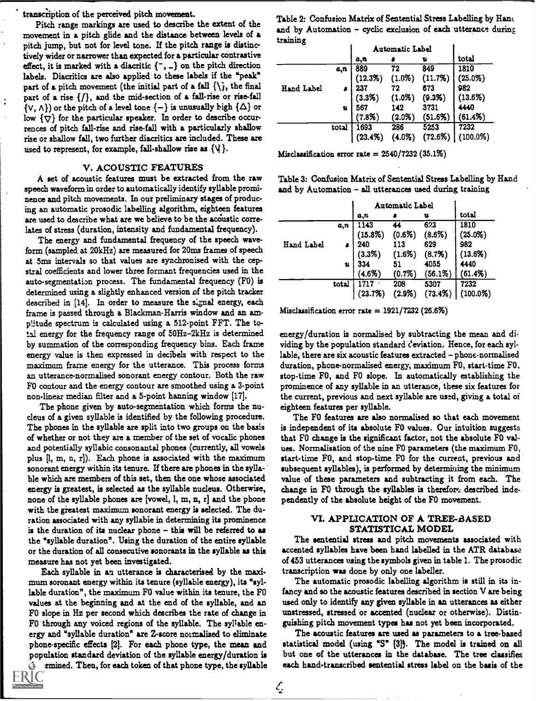transcription of the perceived pitch movement.

Pitch range markings are used to describe the extent of the movement in a pitch glide and the distance between levels of a pitch jump, but not for level tone. If the pitch range is distinctively wider or narrower than expected for a particular contrastive effect, it is marked with a diacritic  $\{\text{-}, \text{-}\}$  on the pitch direction labels. Diacritics are also applied to these labels if the "peak" part of a pitch movement (the initial part of a fall  $\{\hat{\xi}\}$ , the final part of a rise  $\{/\}$ , and the mid-section of a fall-rise or rise-fall  $\{v, \Lambda\}$  or the pitch of a level tone  $\{-\}$  is unusually high  $\{\Delta\}$  or low  $\{\nabla\}$  for the particular speaker. In order to describe occurrences of pitch fall-rise and rise-fall with a particularly shallow rise or shallow fall, two further diacritics are included. These are used to represent, for example, fall-shallow rise as  $\{\forall\}$ .

### V. ACOUSTIC FEATURES

A set of acoustic features must be extracted from the raw speech waveform in order to automatically identify syllable prominence and pitch movements. In out preliminary stages of producing an automatic prosodic labelling algorithm, eighteen features are used to describe what are we believe to be the acoustic correlates of stress (duration, intensity and fundamental frequency).

The energy and fundamental frequency of the speech waveform (sampled at 20kHz) are measured for 20ms frames of speech at 5ms intervals so that values are synchronised with the cepstral coefficients and lower three formant frequencies used in the auto-segmentation process. The fundamental frequency (F0) is determined using a slightly enhanced version of the pitch tracker described in [14]. In order to measure the signal energy, each frame is passed through a Blackman-Harris window and an amplitude spectrum is calculated using a 512-point FFT. The total energy for the frequency range of 50Hz-2kHz is determined by summation of the corresponding frequency bins. Each frame energy value is then expressed in decibels with respect to the maximum frame energy for the utterance. This process forms an utterance-normalised sonorant energy contour. Both the raw FO contour and the energy contour are smoothed using a 3-point non-linear median filter and a 5-point harming window [17].

The phone given by auto-segmentation which forms the nucleus of a given syllable is identified by the following procedure. The phones in the syllable are split into two groups on the basis of whether or not they are a member of the set of vocalic phones and potentially syllabic consonantal phones (currently, all vowels plus [1, m, n, r]). Each phone is associated with the maximum sonorant energy within its tenure. If there are phones in the syllable which are members of this set, then the one whose associated energy is greatest, is selected as the syllable nucleus. Otherwise, none of the syllable phones are [vowel, 1, m, n, r] and the phone with the greatest maximum sonorant energy is selected. The duration associated with any syllable in determining its prominence is the duration of its nuclear phone - this will be referred to as the "syllable duration". Using the duration of the entire syllable or the duration of all consecutive sonorants in the syllable as this measure has not yet been investigated.

Each syllable in an utterance is characterised by the maximum soronant energy within its tenure (syllable energy), its "syllable duration", the maximum FO value within its tenure, the FO values at the beginning and at the end of the syllable, and an FO slope in Hz per second which describes the rate of change in FO through any voiced regions of the syllable. The syllable energy and "syllable duration" are Z-score normalised to eliminate phone-specific effects [2]. For each phone type, the mean and population standard deviation of the syllable energy /duration is rmined. Then, for each token of that phone type, the syllable



Table 2: Confusion Matrix of Sentential Stress Labelling by Hand and by Automation  $-$  cyclic exclusion of each utterance during training

|                   |       | Automatic Label |           |            |                   |
|-------------------|-------|-----------------|-----------|------------|-------------------|
|                   |       | a,n             |           | u          | total             |
|                   | a,n   | 889             | 72        | 849        | 1810              |
|                   |       | (12.3%)         | $(1.0\%)$ | (11.7%)    | $(25.0\%)$        |
| <b>Hand Label</b> |       | 237             | 72        | 673        | 982               |
|                   |       |                 | (1.0%     | (9.3%)     |                   |
|                   | u     | $(3.3%)$<br>567 | 142       | 3731       | $(13.6%)$<br>4440 |
|                   |       | $(7.8\%)$       | $(2.0\%)$ | (51.6%)    | $(61.4\%)$        |
|                   | total | 1693            | 286       | 5253       | 7232              |
|                   |       | (23.4%)         | $(4.0\%)$ | $(72.6\%)$ | $(100.0\%)$       |

Misclassification error rate  $= 2540/7232$  (35.1%)

Table 3: Confusion Matrix of Sentential Stress Labelling by Hand and by Automation - all utterances used during training

|            |       | Automatic Label |                 |            |             |
|------------|-------|-----------------|-----------------|------------|-------------|
|            |       | a,n             |                 | u          | total       |
|            | a,n   | 1143            | 44              | 623        | 1810        |
|            |       | $(15.8\%)$      | (0.6%)          | (8.6%)     | $(25.0\%)$  |
| Hand Label |       | 240             | 113             | 629        | 982         |
|            |       | (3.3%)          | (1.6%)          | (8.7%)     | (13.6%)     |
|            | u     | 334             | $\overline{51}$ | 4055       | 4440        |
|            |       | (4.6%)          | $(0.7\%)$       | $(56.1\%)$ | (61.4%)     |
|            | total |                 | 208             | 5307       | 7232        |
|            |       | (23.7%)         | $(2.9\%)$       | $(73.4\%)$ | $(100.0\%)$ |

Misclassification error rate  $= 1921/7232 (26.6%)$ 

energy/duration is normalised by subtracting the mean and dividing by the population standard deviation. Hence, for each syllable, there are six acoustic features extracted - phone-normalised duration, phone-normalised energy, maximum FO, start-time FO. stop-time FO, and FO slope. In automatically establishing the prominence of any syllable in an utterance, these six features for the current, previous and next syllable are used, giving a total of eighteen features per syllable.

The FO features are also normalised so that each movement is independent of its absolute FO values. Our intuition suggests that FO change is the significant factor, not the absolute FO values. Normalisation of the nine FO parameters (the maximum FO, start-time FO, and stop-time FO for the current, previous and subsequent syllables), is performed by determining the minimum value of these parameters and subtracting it from each. The change in F0 through the syllables is therefore described independently of the absolute height of the FO movement.

### VI. APPLICATION OF A TREE-BASED STATISTICAL MODEL

The sentential stress and pitch movements associated with accented syllables have been hand labelled in the ATR database of 453 utterances using the symbols given in table 1. The prosodic transcription was done by only one labeller.

The automatic prosodic labelling algorithm is still in its infancy and so the acoustic features described in section V are being used only to identify any given syllable in an utterances as either unstressed, stressed or accented (nuclear or otherwise). Distinguishing pitch movement types has not yet been incorporated.

The acoustic features are used as parameters to a tree-based statistical model (using "S" [3]). The model is trained on all but one of the utterances in the database. The tree classifies each hand-transcribed sentential stress label on the basis of the

 $\mathcal{L}$